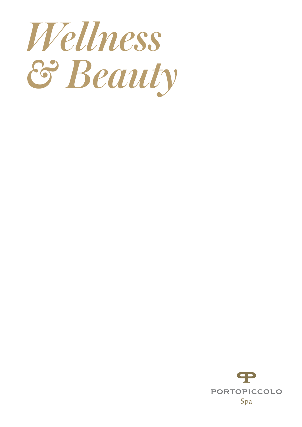

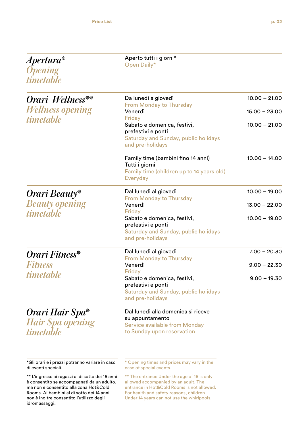| Apertura*<br><b>Opening</b><br><i>timetable</i>         | Aperto tutti i giorni*<br>Open Daily*                                                                                   |                 |
|---------------------------------------------------------|-------------------------------------------------------------------------------------------------------------------------|-----------------|
| Orari Wellness**                                        | Da lunedì a giovedì                                                                                                     | $10.00 - 21.00$ |
| <b>Wellness opening</b>                                 | <b>From Monday to Thursday</b><br>Venerdì                                                                               | $15.00 - 23.00$ |
| <i>timetable</i>                                        | Friday<br>Sabato e domenica, festivi,<br>prefestivi e ponti<br>Saturday and Sunday, public holidays<br>and pre-holidays | $10.00 - 21.00$ |
|                                                         | Family time (bambini fino 14 anni)<br>Tutti i giorni<br>Family time (children up to 14 years old)<br>Everyday           | $10.00 - 14.00$ |
| Orari Beauty*                                           | Dal lunedì al giovedì                                                                                                   | $10.00 - 19.00$ |
| <b>Beauty opening</b>                                   | <b>From Monday to Thursday</b><br>Venerdì<br>Friday                                                                     | $13.00 - 22.00$ |
| <i>timetable</i>                                        | Sabato e domenica, festivi,<br>prefestivi e ponti<br>Saturday and Sunday, public holidays<br>and pre-holidays           | $10.00 - 19.00$ |
| Orari Fitness*                                          | Dal lunedì al giovedì<br>From Monday to Thursday                                                                        | $7.00 - 20.30$  |
| <b>Fitness</b>                                          | Venerdì<br>Friday                                                                                                       | $9.00 - 22.30$  |
| <i>timetable</i>                                        | Sabato e domenica, festivi,<br>prefestivi e ponti<br>Saturday and Sunday, public holidays<br>and pre-holidays           | $9.00 - 19.30$  |
| Orari Hair Spa*<br>Hair Spa opening<br><i>timetable</i> | Dal lunedì alla domenica si riceve<br>su appuntamento<br>Service available from Monday<br>to Sunday upon reservation    |                 |
| *Gli orari e i prezzi potranno variare in caso          | * Opening times and prices may vary in the                                                                              |                 |

di eventi speciali.

\*\* L'ingresso ai ragazzi al di sotto dei 16 anni è consentito se accompagnati da un adulto, ma non è consentito alla zona Hot&Cold Rooms. Ai bambini al di sotto dei 14 anni non è inoltre consentito l'utilizzo degli idromassaggi.

case of special events.

\*\* The entrance Under the age of 16 is only allowed accompanied by an adult. The entrance in Hot&Cold Rooms is not allowed. For health and safety reasons, children Under 14 years can not use the whirlpools.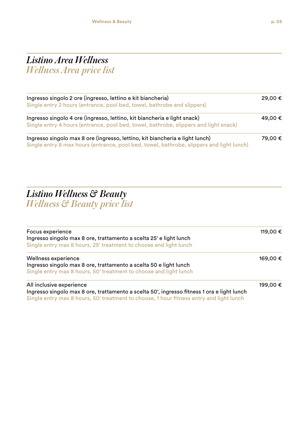## *Listino Area Wellness Wellness Area price list*

| Ingresso singolo 2 ore (ingresso, lettino e kit biancheria)<br>Single entry 2 hours (entrance, pool bed, towel, bathrobe and slippers)                                   | 29,00 € |
|--------------------------------------------------------------------------------------------------------------------------------------------------------------------------|---------|
| Ingresso singolo 4 ore (ingresso, lettino, kit biancheria e light snack)<br>Single entry 4 hours (entrance, pool bed, towel, bathrobe, slippers and light snack)         | 49,00 € |
| Ingresso singolo max 8 ore (ingresso, lettino, kit biancheria e light lunch)<br>Single entry 8 max hours (entrance, pool bed, towel, bathrobe, slippers and light lunch) | 79,00 € |

# *Listino Wellness & Beauty*

*Wellness & Beauty price list*

| Focus experience<br>Ingresso singolo max 8 ore, trattamento a scelta 25' e light lunch<br>Single entry max 8 hours, 25' treatment to choose and light lunch                                                       | 119,00 € |
|-------------------------------------------------------------------------------------------------------------------------------------------------------------------------------------------------------------------|----------|
| Wellness experience<br>Ingresso singolo max 8 ore, trattamento a scelta 50 e light lunch<br>Single entry max 8 hours, 50' treatment to choose and light lunch                                                     | 169,00 € |
| All inclusive experience<br>Ingresso singolo max 8 ore, trattamento a scelta 50', ingresso fitness 1 ora e light lunch<br>Single entry max 8 hours, 50' treatment to choose, 1 hour fitness entry and light lunch | 199,00 € |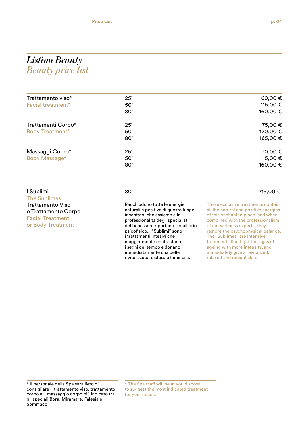### *Listino Beauty Beauty price list*

| Trattamento viso*      | 25' | 60,00 €  |
|------------------------|-----|----------|
| Facial treatment*      | 50' | 115,00€  |
|                        | 80' | 160,00 € |
| Trattamenti Corpo*     | 25' | 75,00 €  |
| <b>Body Treatment*</b> | 50' | 120,00 € |
|                        | 80' | 165,00 € |
| Massaggi Corpo*        | 25' | 70,00 €  |
| Body Massage*          | 50' | 115,00 € |
|                        | 80' | 160,00 € |

### I Sublimi The Sublimes Trattamento Viso o Trattamento Corpo Facial Treatment or Body Treatment 80' 215,00 € Racchiudono tutte le energie naturali e positive di questo luogo incantato, che assieme alla professionalità degli specialisti del benessere riportano l'equilibrio psicofisico. I "Sublimi" sono i trattamenti intesivi che These exclusive treatments contain all the natural and positive energies of this enchanted place, and when combined with the professionalism of our wellness experts, they restore the psychophysical balance. The "Sublimes" are intensive

maggiormente contrastano i segni del tempo e donano immediatamente una pelle rivitalizzata, distesa e luminosa. treatments that fight the signs of ageing with more intensity, and immediately give a revitalized, relaxed and radiant skin.

\* The Spa staff will be at you disposal to suggest the most indicated treatment for your needs.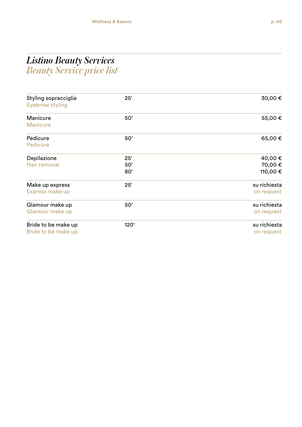## *Listino Beauty Services Beauty Service price list*

| Styling sopracciglia<br>Eyebrow styling    | 25'               | 30,00 €                        |
|--------------------------------------------|-------------------|--------------------------------|
| Manicure<br><b>Manicure</b>                | 50'               | 55,00 €                        |
| Pedicure<br>Pedicure                       | 50'               | 65,00 €                        |
| Depilazione<br>Hair removal                | 25'<br>50'<br>80' | 40,00 €<br>70,00 €<br>110,00 € |
| Make up express<br>Express make up         | 25'               | su richiesta<br>on request     |
| Glamour make up<br>Glamour make up         | 50'               | su richiesta<br>on request     |
| Bride to be make up<br>Bride to be make up | 120'              | su richiesta<br>on request     |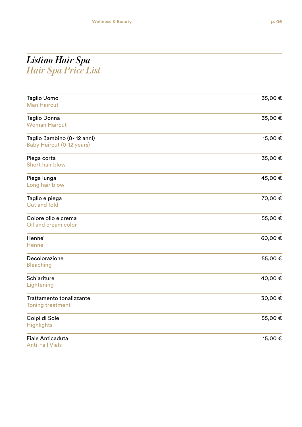## *Listino Hair Spa Hair Spa Price List*

| Taglio Uomo<br><b>Man Haircut</b>                       | 35,00€  |
|---------------------------------------------------------|---------|
| Taglio Donna<br><b>Woman Haircut</b>                    | 35,00€  |
| Taglio Bambino (0-12 anni)<br>Baby Haircut (0-12 years) | 15,00€  |
| Piega corta<br>Short hair blow                          | 35,00€  |
| Piega lunga<br>Long hair blow                           | 45,00€  |
| Taglio e piega<br><b>Cut and fold</b>                   | 70,00€  |
| Colore olio e crema<br>Oil and cream color              | 55,00€  |
| Henne'<br>Henne                                         | 60,00€  |
| Decolorazione<br><b>Bleaching</b>                       | 55,00€  |
| Schiariture<br>Lightening                               | 40,00 € |
| Trattamento tonalizzante<br><b>Toning treatment</b>     | 30,00€  |
| Colpi di Sole<br><b>Highlights</b>                      | 55,00€  |
| <b>Fiale Anticaduta</b><br><b>Anti-Fall Vials</b>       | 15,00 € |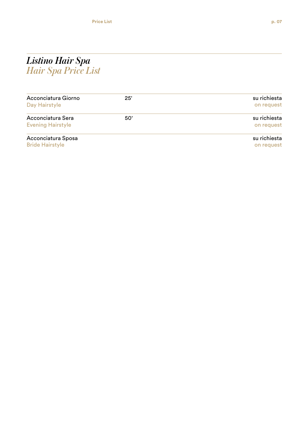## *Listino Hair Spa Hair Spa Price List*

| Acconciatura Giorno    | 25' | su richiesta |
|------------------------|-----|--------------|
| Day Hairstyle          |     | on request   |
| Acconciatura Sera      | 50' | su richiesta |
| Evening Hairstyle      |     | on request   |
| Acconciatura Sposa     |     | su richiesta |
| <b>Bride Hairstyle</b> |     | on request   |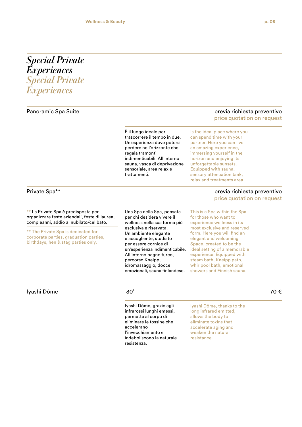### *Special Private Experiences Special Private Experiences*

### Panoramic Spa Suite

### previa richiesta preventivo

price quotation on request

È il luogo ideale per trascorrere il tempo in due. Un'esperienza dove potersi perdere nell'orizzonte che regala tramonti indimenticabili. All'interno sauna, vasca di deprivazione sensoriale, area relax e trattamenti.

Is the ideal place where you can spend time with your partner. Here you can live an amazing experience, immersing yourself in the horizon and enjoying its unforgettable sunsets. Equipped with sauna, sensory attenuation tank, relax and treatments area.

### Private Spa\*\*

\*\* La Private Spa è predisposta per organizzare feste aziendali, feste di laurea, compleanni, addio al nubilato/celibato.

\*\* The Private Spa is dedicated for corporate parties, graduation parties, birthdays, hen & stag parties only.

Una Spa nella Spa, pensata per chi desidera vivere il wellness nella sua forma più esclusiva e riservata. Un ambiente elegante e accogliente, studiato per essere cornice di un'esperienza indimenticabile. All'interno bagno turco, percorso Kneipp, idromassaggio, docce emozionali, sauna finlandese.

previa richiesta preventivo

price quotation on request

This is a Spa within the Spa for those who want to experience wellness in its most exclusive and reserved form. Here you will find an elegant and welcoming Space, created to be the ideal setting of a memorable experience. Equipped with steam bath, Kneipp path, whirlpool bath, emotional showers and Finnish sauna.

### Iyashi Dôme 30' 70 €

Iyashi Dôme, grazie agli infrarossi lunghi emessi, permette al corpo di eliminare le tossine che accelerano l'invecchiamento e indeboliscono la naturale resistenza.

Iyashi Dôme, thanks to the long infrared emitted, allows the body to eliminate toxins that accelerate aging and weaken the natural resistance.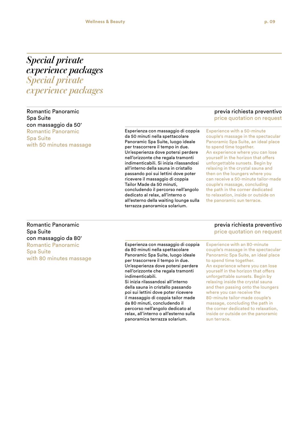### *Special private experience packages Special private experience packages*

Romantic Panoramic Spa Suite con massaggio da 50' Romantic Panoramic Spa Suite with 50 minutes massage

Esperienza con massaggio di coppia da 50 minuti nella spettacolare Panoramic Spa Suite, luogo ideale per trascorrere il tempo in due. Un'esperienza dove potersi perdere nell'orizzonte che regala tramonti indimenticabili. Si inizia rilassandosi all'interno della sauna in cristallo passando poi sui lettini dove poter ricevere il massaggio di coppia Tailor Made da 50 minuti, concludendo il percorso nell'angolo dedicato al relax, all'interno o all'esterno della waiting lounge sulla terrazza panoramica solarium.

### previa richiesta preventivo

price quotation on request

Experience with a 50-minute couple's massage in the spectacular Panoramic Spa Suite, an ideal place to spend time together. An experience where you can lose yourself in the horizon that offers unforgettable sunsets. Begin by relaxing in the crystal sauna and then on the loungers where you can receive a 50-minute tailor-made couple's massage, concluding the path in the corner dedicated to relaxation, inside or outside on the panoramic sun terrace.

### Romantic Panoramic Spa Suite con massaggio da 80' Romantic Panoramic Spa Suite with 80 minutes massage

Esperienza con massaggio di coppia da 80 minuti nella spettacolare Panoramic Spa Suite, luogo ideale per trascorrere il tempo in due. Un'esperienza dove potersi perdere nell'orizzonte che regala tramonti indimenticabili. Si inizia rilassandosi all'interno

della sauna in cristallo passando poi sui lettini dove poter ricevere il massaggio di coppia tailor made da 80 minuti, concludendo il percorso nell'angolo dedicato al relax, all'interno o all'esterno sulla panoramica terrazza solarium.

### previa richiesta preventivo price quotation on request

Experience with an 80-minute couple's massage in the spectacular Panoramic Spa Suite, an ideal place to spend time together. An experience where you can lose yourself in the horizon that offers unforgettable sunsets. Begin by relaxing inside the crystal sauna and then passing onto the loungers where you can receive the 80-minute tailor-made couple's massage, concluding the path in the corner dedicated to relaxation, inside or outside on the panoramic sun terrace.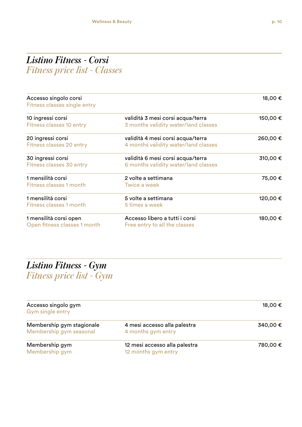## *Listino Fitness - Corsi Fitness price list - Classes*

| Accesso singolo corsi<br>Fitness classes single entry |                                      | 18,00 €  |
|-------------------------------------------------------|--------------------------------------|----------|
| 10 ingressi corsi                                     | validità 3 mesi corsi acqua/terra    | 150,00 € |
| Fitness classes 10 entry                              | 3 months validity water/land classes |          |
| 20 ingressi corsi                                     | validità 4 mesi corsi acqua/terra    | 260,00 € |
| Fitness classes 20 entry                              | 4 months validity water/land classes |          |
| 30 ingressi corsi                                     | validità 6 mesi corsi acqua/terra    | 310,00 € |
| Fitness classes 30 entry                              | 6 months validity water/land classes |          |
| 1 mensilità corsi                                     | 2 volte a settimana                  | 75,00 €  |
| Fitness classes 1 month                               | Twice a week                         |          |
| 1 mensilità corsi                                     | 5 volte a settimana                  | 120,00 € |
| Fitness classes 1 month                               | 5 times a week                       |          |
| 1 mensilità corsi open                                | Accesso libero a tutti i corsi       | 180,00 € |
| Open fitness classes 1 month                          | Free entry to all the classes        |          |

## *Listino Fitness - Gym Fitness price list - Gym*

| Accesso singolo gym<br>Gym single entry              |                                                      | 18,00 €  |
|------------------------------------------------------|------------------------------------------------------|----------|
| Membership gym stagionale<br>Membership gym seasonal | 4 mesi accesso alla palestra<br>4 months gym entry   | 340,00 € |
| Membership gym<br>Membership gym                     | 12 mesi accesso alla palestra<br>12 months gym entry | 780,00 € |